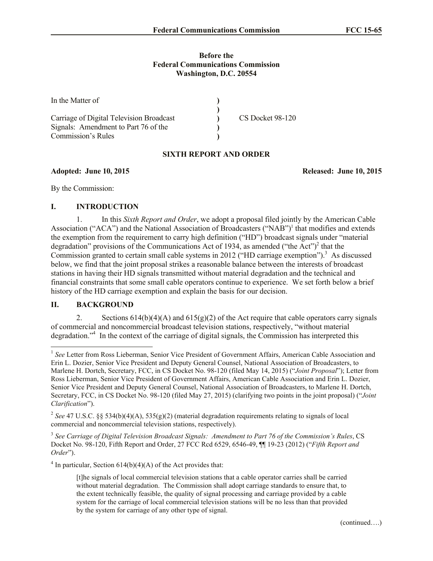#### **Before the Federal Communications Commission Washington, D.C. 20554**

| In the Matter of                         |                  |
|------------------------------------------|------------------|
|                                          |                  |
| Carriage of Digital Television Broadcast | CS Docket 98-120 |
| Signals: Amendment to Part 76 of the     |                  |
| Commission's Rules                       |                  |

## **SIXTH REPORT AND ORDER**

#### **Adopted: June 10, 2015 Released: June 10, 2015**

By the Commission:

### **I. INTRODUCTION**

1. In this *Sixth Report and Order*, we adopt a proposal filed jointly by the American Cable Association ("ACA") and the National Association of Broadcasters ("NAB")<sup>1</sup> that modifies and extends the exemption from the requirement to carry high definition ("HD") broadcast signals under "material degradation" provisions of the Communications Act of 1934, as amended ("the Act")<sup>2</sup> that the Commission granted to certain small cable systems in 2012 ("HD carriage exemption"). <sup>3</sup> As discussed below, we find that the joint proposal strikes a reasonable balance between the interests of broadcast stations in having their HD signals transmitted without material degradation and the technical and financial constraints that some small cable operators continue to experience. We set forth below a brief history of the HD carriage exemption and explain the basis for our decision.

#### **II. BACKGROUND**

 $\overline{\phantom{a}}$ 

2. Sections  $614(b)(4)(A)$  and  $615(g)(2)$  of the Act require that cable operators carry signals of commercial and noncommercial broadcast television stations, respectively, "without material degradation."<sup>4</sup> In the context of the carriage of digital signals, the Commission has interpreted this

<sup>&</sup>lt;sup>1</sup> See Letter from Ross Lieberman, Senior Vice President of Government Affairs, American Cable Association and Erin L. Dozier, Senior Vice President and Deputy General Counsel, National Association of Broadcasters, to Marlene H. Dortch, Secretary, FCC, in CS Docket No. 98-120 (filed May 14, 2015) ("*Joint Proposal*"); Letter from Ross Lieberman, Senior Vice President of Government Affairs, American Cable Association and Erin L. Dozier, Senior Vice President and Deputy General Counsel, National Association of Broadcasters, to Marlene H. Dortch, Secretary, FCC, in CS Docket No. 98-120 (filed May 27, 2015) (clarifying two points in the joint proposal) ("*Joint Clarification*").

<sup>&</sup>lt;sup>2</sup> See 47 U.S.C. §§ 534(b)(4)(A), 535(g)(2) (material degradation requirements relating to signals of local commercial and noncommercial television stations, respectively).

<sup>&</sup>lt;sup>3</sup> See Carriage of Digital Television Broadcast Signals: Amendment to Part 76 of the Commission's Rules, CS Docket No. 98-120, Fifth Report and Order, 27 FCC Rcd 6529, 6546-49, ¶¶ 19-23 (2012) ("*Fifth Report and Order*").

<sup>&</sup>lt;sup>4</sup> In particular, Section  $614(b)(4)(A)$  of the Act provides that:

<sup>[</sup>t]he signals of local commercial television stations that a cable operator carries shall be carried without material degradation. The Commission shall adopt carriage standards to ensure that, to the extent technically feasible, the quality of signal processing and carriage provided by a cable system for the carriage of local commercial television stations will be no less than that provided by the system for carriage of any other type of signal.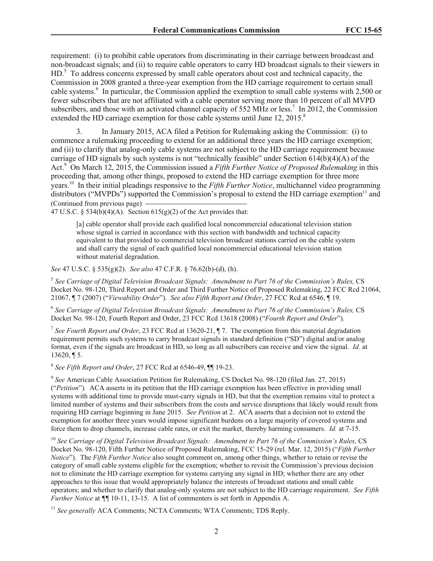requirement: (i) to prohibit cable operators from discriminating in their carriage between broadcast and non-broadcast signals; and (ii) to require cable operators to carry HD broadcast signals to their viewers in HD.<sup>5</sup> To address concerns expressed by small cable operators about cost and technical capacity, the Commission in 2008 granted a three-year exemption from the HD carriage requirement to certain small cable systems.<sup>6</sup> In particular, the Commission applied the exemption to small cable systems with 2,500 or fewer subscribers that are not affiliated with a cable operator serving more than 10 percent of all MVPD subscribers, and those with an activated channel capacity of 552 MHz or less.<sup>7</sup> In 2012, the Commission extended the HD carriage exemption for those cable systems until June 12, 2015.<sup>8</sup>

3. In January 2015, ACA filed a Petition for Rulemaking asking the Commission: (i) to commence a rulemaking proceeding to extend for an additional three years the HD carriage exemption; and (ii) to clarify that analog-only cable systems are not subject to the HD carriage requirement because carriage of HD signals by such systems is not "technically feasible" under Section 614(b)(4)(A) of the Act.<sup>9</sup> On March 12, 2015, the Commission issued a *Fifth Further Notice of Proposed Rulemaking* in this proceeding that, among other things, proposed to extend the HD carriage exemption for three more years. 10 In their initial pleadings responsive to the *Fifth Further Notice*, multichannel video programming distributors ("MVPDs") supported the Commission's proposal to extend the HD carriage exemption $11$  and (Continued from previous page)

47 U.S.C. § 534(b)(4)(A). Section  $615(g)(2)$  of the Act provides that:

[a] cable operator shall provide each qualified local noncommercial educational television station whose signal is carried in accordance with this section with bandwidth and technical capacity equivalent to that provided to commercial television broadcast stations carried on the cable system and shall carry the signal of each qualified local noncommercial educational television station without material degradation.

*See* 47 U.S.C. § 535(g)(2). *See also* 47 C.F.R. § 76.62(b)-(d), (h).

<sup>5</sup> See Carriage of Digital Television Broadcast Signals: Amendment to Part 76 of the Commission's Rules, CS Docket No. 98-120, Third Report and Order and Third Further Notice of Proposed Rulemaking, 22 FCC Rcd 21064, 21067, ¶ 7 (2007) ("*Viewability Order*"). *See also Fifth Report and Order*, 27 FCC Rcd at 6546, ¶ 19.

6 *See Carriage of Digital Television Broadcast Signals: Amendment to Part 76 of the Commission's Rules,* CS Docket No. 98-120, Fourth Report and Order, 23 FCC Rcd 13618 (2008) ("*Fourth Report and Order*").

<sup>7</sup> See Fourth Report and Order, 23 FCC Rcd at 13620-21, ¶ 7. The exemption from this material degradation requirement permits such systems to carry broadcast signals in standard definition ("SD") digital and/or analog format, even if the signals are broadcast in HD, so long as all subscribers can receive and view the signal. *Id.* at 13620, ¶ 5.

8 *See Fifth Report and Order*, 27 FCC Rcd at 6546-49, ¶¶ 19-23.

9 *See* American Cable Association Petition for Rulemaking, CS Docket No. 98-120 (filed Jan. 27, 2015) ("*Petition*")*.* ACA asserts in its petition that the HD carriage exemption has been effective in providing small systems with additional time to provide must-carry signals in HD, but that the exemption remains vital to protect a limited number of systems and their subscribers from the costs and service disruptions that likely would result from requiring HD carriage beginning in June 2015. *See Petition* at 2. ACA asserts that a decision not to extend the exemption for another three years would impose significant burdens on a large majority of covered systems and force them to drop channels, increase cable rates, or exit the market, thereby harming consumers. *Id.* at 7-15.

<sup>10</sup> See Carriage of Digital Television Broadcast Signals: Amendment to Part 76 of the Commission's Rules, CS Docket No. 98-120, Fifth Further Notice of Proposed Rulemaking, FCC 15-29 (rel. Mar. 12, 2015) ("*Fifth Further Notice*"). The *Fifth Further Notice* also sought comment on, among other things, whether to retain or revise the category of small cable systems eligible for the exemption; whether to revisit the Commission's previous decision not to eliminate the HD carriage exemption for systems carrying any signal in HD; whether there are any other approaches to this issue that would appropriately balance the interests of broadcast stations and small cable operators; and whether to clarify that analog-only systems are not subject to the HD carriage requirement. *See Fifth Further Notice* at  $\P\P$  10-11, 13-15. A list of commenters is set forth in Appendix A.

<sup>11</sup> See generally ACA Comments; NCTA Comments; WTA Comments; TDS Reply.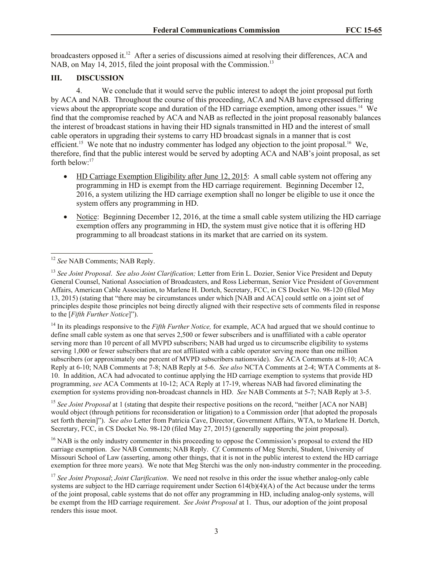broadcasters opposed it.<sup>12</sup> After a series of discussions aimed at resolving their differences, ACA and NAB, on May 14, 2015, filed the joint proposal with the Commission.<sup>13</sup>

## **III. DISCUSSION**

4. We conclude that it would serve the public interest to adopt the joint proposal put forth by ACA and NAB. Throughout the course of this proceeding, ACA and NAB have expressed differing views about the appropriate scope and duration of the HD carriage exemption, among other issues.<sup>14</sup> We find that the compromise reached by ACA and NAB as reflected in the joint proposal reasonably balances the interest of broadcast stations in having their HD signals transmitted in HD and the interest of small cable operators in upgrading their systems to carry HD broadcast signals in a manner that is cost efficient.<sup>15</sup> We note that no industry commenter has lodged any objection to the joint proposal.<sup>16</sup> We, therefore, find that the public interest would be served by adopting ACA and NAB's joint proposal, as set forth below:<sup>17</sup>

- HD Carriage Exemption Eligibility after June 12, 2015: A small cable system not offering any programming in HD is exempt from the HD carriage requirement. Beginning December 12, 2016, a system utilizing the HD carriage exemption shall no longer be eligible to use it once the system offers any programming in HD.
- Notice: Beginning December 12, 2016, at the time a small cable system utilizing the HD carriage exemption offers any programming in HD, the system must give notice that it is offering HD programming to all broadcast stations in its market that are carried on its system.

<sup>14</sup> In its pleadings responsive to the *Fifth Further Notice,* for example, ACA had argued that we should continue to define small cable system as one that serves 2,500 or fewer subscribers and is unaffiliated with a cable operator serving more than 10 percent of all MVPD subscribers; NAB had urged us to circumscribe eligibility to systems serving 1,000 or fewer subscribers that are not affiliated with a cable operator serving more than one million subscribers (or approximately one percent of MVPD subscribers nationwide). *See* ACA Comments at 8-10; ACA Reply at 6-10; NAB Comments at 7-8; NAB Reply at 5-6. *See also* NCTA Comments at 2-4; WTA Comments at 8- 10. In addition, ACA had advocated to continue applying the HD carriage exemption to systems that provide HD programming, *see* ACA Comments at 10-12; ACA Reply at 17-19, whereas NAB had favored eliminating the exemption for systems providing non-broadcast channels in HD. *See* NAB Comments at 5-7; NAB Reply at 3-5.

<sup>15</sup> *See Joint Proposal* at 1 (stating that despite their respective positions on the record, "neither [ACA nor NAB] would object (through petitions for reconsideration or litigation) to a Commission order [that adopted the proposals set forth therein]"). *See also* Letter from Patricia Cave, Director, Government Affairs, WTA, to Marlene H. Dortch, Secretary, FCC, in CS Docket No. 98-120 (filed May 27, 2015) (generally supporting the joint proposal).

<sup>16</sup> NAB is the only industry commenter in this proceeding to oppose the Commission's proposal to extend the HD carriage exemption. *See* NAB Comments; NAB Reply. *Cf.* Comments of Meg Sterchi, Student, University of Missouri School of Law (asserting, among other things, that it is not in the public interest to extend the HD carriage exemption for three more years). We note that Meg Sterchi was the only non-industry commenter in the proceeding.

 $\overline{a}$ <sup>12</sup> *See* NAB Comments; NAB Reply.

<sup>13</sup> *See Joint Proposal*. *See also Joint Clarification;* Letter from Erin L. Dozier, Senior Vice President and Deputy General Counsel, National Association of Broadcasters, and Ross Lieberman, Senior Vice President of Government Affairs, American Cable Association, to Marlene H. Dortch, Secretary, FCC, in CS Docket No. 98-120 (filed May 13, 2015) (stating that "there may be circumstances under which [NAB and ACA] could settle on a joint set of principles despite those principles not being directly aligned with their respective sets of comments filed in response to the [*Fifth Further Notice*]").

<sup>17</sup> *See Joint Proposal*; *Joint Clarification*. We need not resolve in this order the issue whether analog-only cable systems are subject to the HD carriage requirement under Section 614(b)(4)(A) of the Act because under the terms of the joint proposal, cable systems that do not offer any programming in HD, including analog-only systems, will be exempt from the HD carriage requirement. *See Joint Proposal* at 1. Thus, our adoption of the joint proposal renders this issue moot.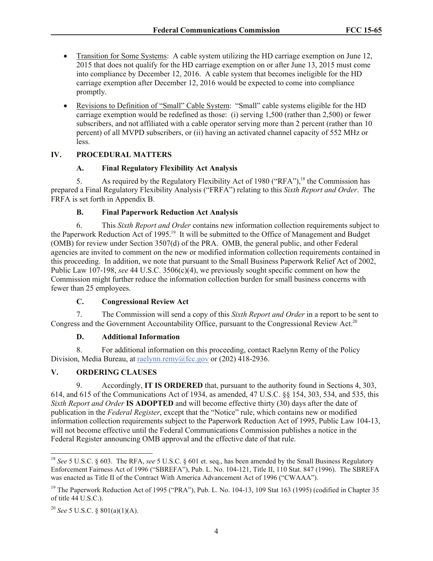- Transition for Some Systems: A cable system utilizing the HD carriage exemption on June 12, 2015 that does not qualify for the HD carriage exemption on or after June 13, 2015 must come into compliance by December 12, 2016. A cable system that becomes ineligible for the HD carriage exemption after December 12, 2016 would be expected to come into compliance promptly.
- Revisions to Definition of "Small" Cable System: "Small" cable systems eligible for the HD carriage exemption would be redefined as those: (i) serving 1,500 (rather than 2,500) or fewer subscribers, and not affiliated with a cable operator serving more than 2 percent (rather than 10 percent) of all MVPD subscribers, or (ii) having an activated channel capacity of 552 MHz or less.

## **IV. PROCEDURAL MATTERS**

### **A. Final Regulatory Flexibility Act Analysis**

5. As required by the Regulatory Flexibility Act of 1980 ("RFA"), <sup>18</sup> the Commission has prepared a Final Regulatory Flexibility Analysis ("FRFA") relating to this *Sixth Report and Order*. The FRFA is set forth in Appendix B.

### **B. Final Paperwork Reduction Act Analysis**

6. This *Sixth Report and Order* contains new information collection requirements subject to the Paperwork Reduction Act of 1995.<sup>19</sup> It will be submitted to the Office of Management and Budget (OMB) for review under Section 3507(d) of the PRA. OMB, the general public, and other Federal agencies are invited to comment on the new or modified information collection requirements contained in this proceeding. In addition, we note that pursuant to the Small Business Paperwork Relief Act of 2002, Public Law 107-198, *see* 44 U.S.C. 3506(c)(4), we previously sought specific comment on how the Commission might further reduce the information collection burden for small business concerns with fewer than 25 employees.

## **C. Congressional Review Act**

7. The Commission will send a copy of this *Sixth Report and Order* in a report to be sent to Congress and the Government Accountability Office, pursuant to the Congressional Review Act.<sup>20</sup>

#### **D. Additional Information**

8. For additional information on this proceeding, contact Raelynn Remy of the Policy Division, Media Bureau, at raelynn.remy@fcc.gov or (202) 418-2936.

## **V. ORDERING CLAUSES**

9. Accordingly, **IT IS ORDERED** that, pursuant to the authority found in Sections 4, 303, 614, and 615 of the Communications Act of 1934, as amended, 47 U.S.C. §§ 154, 303, 534, and 535, this *Sixth Report and Order* **IS ADOPTED** and will become effective thirty (30) days after the date of publication in the *Federal Register*, except that the "Notice" rule, which contains new or modified information collection requirements subject to the Paperwork Reduction Act of 1995, Public Law 104-13, will not become effective until the Federal Communications Commission publishes a notice in the Federal Register announcing OMB approval and the effective date of that rule.

 $\overline{a}$ 

<sup>18</sup> *See* 5 U.S.C. § 603. The RFA, *see* 5 U.S.C. § 601 et. seq., has been amended by the Small Business Regulatory Enforcement Fairness Act of 1996 ("SBREFA"), Pub. L. No. 104-121, Title II, 110 Stat. 847 (1996). The SBREFA was enacted as Title II of the Contract With America Advancement Act of 1996 ("CWAAA").

<sup>&</sup>lt;sup>19</sup> The Paperwork Reduction Act of 1995 ("PRA"), Pub. L. No. 104-13, 109 Stat 163 (1995) (codified in Chapter 35 of title 44 U.S.C.).

<sup>20</sup> *See* 5 U.S.C. § 801(a)(1)(A).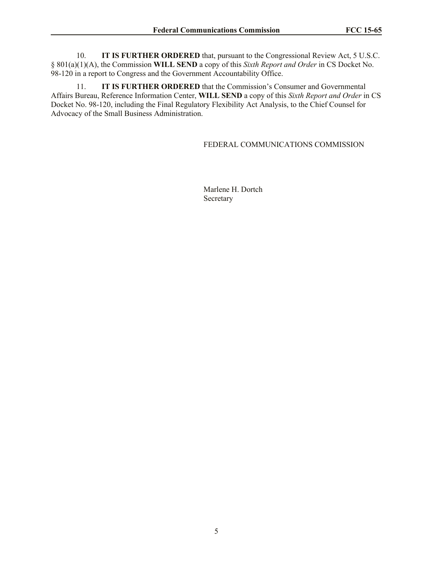10. **IT IS FURTHER ORDERED** that, pursuant to the Congressional Review Act, 5 U.S.C. § 801(a)(1)(A), the Commission **WILL SEND** a copy of this *Sixth Report and Order* in CS Docket No. 98-120 in a report to Congress and the Government Accountability Office.

11. **IT IS FURTHER ORDERED** that the Commission's Consumer and Governmental Affairs Bureau, Reference Information Center, **WILL SEND** a copy of this *Sixth Report and Order* in CS Docket No. 98-120, including the Final Regulatory Flexibility Act Analysis, to the Chief Counsel for Advocacy of the Small Business Administration.

#### FEDERAL COMMUNICATIONS COMMISSION

Marlene H. Dortch Secretary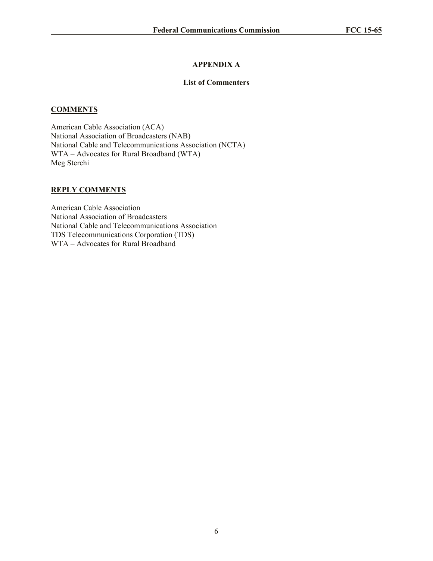## **APPENDIX A**

### **List of Commenters**

### **COMMENTS**

American Cable Association (ACA) National Association of Broadcasters (NAB) National Cable and Telecommunications Association (NCTA) WTA – Advocates for Rural Broadband (WTA) Meg Sterchi

### **REPLY COMMENTS**

American Cable Association National Association of Broadcasters National Cable and Telecommunications Association TDS Telecommunications Corporation (TDS) WTA – Advocates for Rural Broadband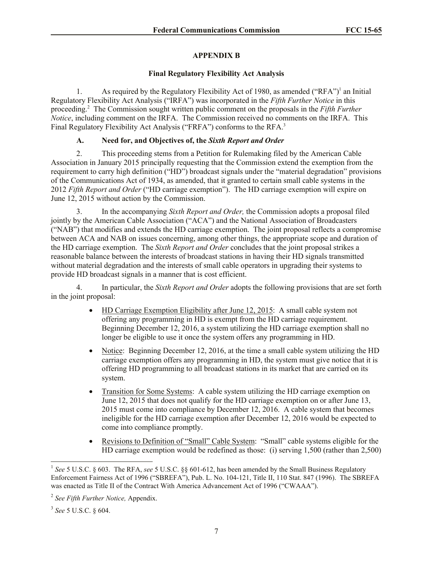# **APPENDIX B**

## **Final Regulatory Flexibility Act Analysis**

1. As required by the Regulatory Flexibility Act of 1980, as amended ("RFA")<sup>1</sup> an Initial Regulatory Flexibility Act Analysis ("IRFA") was incorporated in the *Fifth Further Notice* in this proceeding.<sup>2</sup> The Commission sought written public comment on the proposals in the *Fifth Further Notice*, including comment on the IRFA. The Commission received no comments on the IRFA. This Final Regulatory Flexibility Act Analysis ("FRFA") conforms to the RFA.<sup>3</sup>

## **A. Need for, and Objectives of, the** *Sixth Report and Order*

2. This proceeding stems from a Petition for Rulemaking filed by the American Cable Association in January 2015 principally requesting that the Commission extend the exemption from the requirement to carry high definition ("HD") broadcast signals under the "material degradation" provisions of the Communications Act of 1934, as amended, that it granted to certain small cable systems in the 2012 *Fifth Report and Order* ("HD carriage exemption"). The HD carriage exemption will expire on June 12, 2015 without action by the Commission.

3. In the accompanying *Sixth Report and Order,* the Commission adopts a proposal filed jointly by the American Cable Association ("ACA") and the National Association of Broadcasters ("NAB") that modifies and extends the HD carriage exemption.The joint proposal reflects a compromise between ACA and NAB on issues concerning, among other things, the appropriate scope and duration of the HD carriage exemption. The *Sixth Report and Order* concludes that the joint proposal strikes a reasonable balance between the interests of broadcast stations in having their HD signals transmitted without material degradation and the interests of small cable operators in upgrading their systems to provide HD broadcast signals in a manner that is cost efficient.

4. In particular, the *Sixth Report and Order* adopts the following provisions that are set forth in the joint proposal:

- HD Carriage Exemption Eligibility after June 12, 2015: A small cable system not offering any programming in HD is exempt from the HD carriage requirement. Beginning December 12, 2016, a system utilizing the HD carriage exemption shall no longer be eligible to use it once the system offers any programming in HD.
- Notice: Beginning December 12, 2016, at the time a small cable system utilizing the HD carriage exemption offers any programming in HD, the system must give notice that it is offering HD programming to all broadcast stations in its market that are carried on its system.
- Transition for Some Systems: A cable system utilizing the HD carriage exemption on June 12, 2015 that does not qualify for the HD carriage exemption on or after June 13, 2015 must come into compliance by December 12, 2016. A cable system that becomes ineligible for the HD carriage exemption after December 12, 2016 would be expected to come into compliance promptly.
- Revisions to Definition of "Small" Cable System: "Small" cable systems eligible for the HD carriage exemption would be redefined as those: (i) serving 1,500 (rather than 2,500)

 $\overline{a}$ 

<sup>&</sup>lt;sup>1</sup> See 5 U.S.C. § 603. The RFA, see 5 U.S.C. §§ 601-612, has been amended by the Small Business Regulatory Enforcement Fairness Act of 1996 ("SBREFA"), Pub. L. No. 104-121, Title II, 110 Stat. 847 (1996). The SBREFA was enacted as Title II of the Contract With America Advancement Act of 1996 ("CWAAA").

<sup>2</sup> *See Fifth Further Notice,* Appendix.

<sup>3</sup> *See* 5 U.S.C. § 604.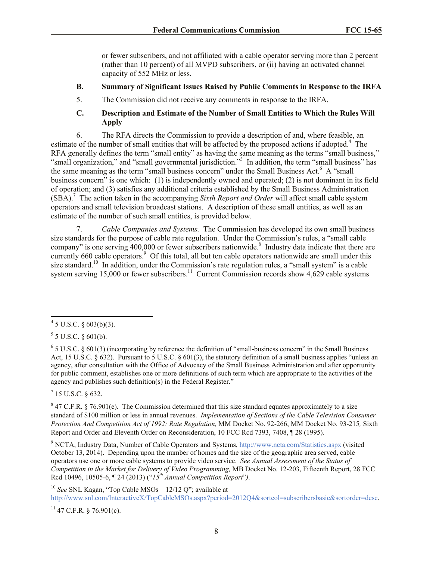or fewer subscribers, and not affiliated with a cable operator serving more than 2 percent (rather than 10 percent) of all MVPD subscribers, or (ii) having an activated channel capacity of 552 MHz or less.

#### **B. Summary of Significant Issues Raised by Public Comments in Response to the IRFA**

5. The Commission did not receive any comments in response to the IRFA.

## **C. Description and Estimate of the Number of Small Entities to Which the Rules Will Apply**

6. The RFA directs the Commission to provide a description of and, where feasible, an estimate of the number of small entities that will be affected by the proposed actions if adopted.<sup>4</sup> The RFA generally defines the term "small entity" as having the same meaning as the terms "small business," "small organization," and "small governmental jurisdiction."<sup>5</sup> In addition, the term "small business" has the same meaning as the term "small business concern" under the Small Business Act.<sup>6</sup> A "small business concern" is one which: (1) is independently owned and operated; (2) is not dominant in its field of operation; and (3) satisfies any additional criteria established by the Small Business Administration (SBA).<sup>7</sup> The action taken in the accompanying *Sixth Report and Order* will affect small cable system operators and small television broadcast stations. A description of these small entities, as well as an estimate of the number of such small entities, is provided below.

7. *Cable Companies and Systems.* The Commission has developed its own small business size standards for the purpose of cable rate regulation. Under the Commission's rules, a "small cable company" is one serving  $400,000$  or fewer subscribers nationwide.<sup>8</sup> Industry data indicate that there are currently 660 cable operators.<sup>9</sup> Of this total, all but ten cable operators nationwide are small under this size standard.<sup>10</sup> In addition, under the Commission's rate regulation rules, a "small system" is a cable system serving 15,000 or fewer subscribers.<sup>11</sup> Current Commission records show 4,629 cable systems

 $5$  5 U.S.C. § 601(b).

 $\overline{a}$ 

 $^7$  15 U.S.C. § 632.

<sup>9</sup> NCTA, Industry Data, Number of Cable Operators and Systems, http://www.ncta.com/Statistics.aspx (visited October 13, 2014). Depending upon the number of homes and the size of the geographic area served, cable operators use one or more cable systems to provide video service. *See Annual Assessment of the Status of Competition in the Market for Delivery of Video Programming,* MB Docket No. 12-203, Fifteenth Report, 28 FCC Rcd 10496, 10505-6, ¶ 24 (2013) ("*15th Annual Competition Report*"*)*.

<sup>10</sup> *See* SNL Kagan, "Top Cable MSOs – 12/12 Q"; available at http://www.snl.com/InteractiveX/TopCableMSOs.aspx?period=2012Q4&sortcol=subscribersbasic&sortorder=desc.

 $11$  47 C.F.R. § 76.901(c).

 $4\,$  5 U.S.C. § 603(b)(3).

 $6$  5 U.S.C. § 601(3) (incorporating by reference the definition of "small-business concern" in the Small Business Act, 15 U.S.C.  $\S 632$ ). Pursuant to 5 U.S.C.  $\S 601(3)$ , the statutory definition of a small business applies "unless an agency, after consultation with the Office of Advocacy of the Small Business Administration and after opportunity for public comment, establishes one or more definitions of such term which are appropriate to the activities of the agency and publishes such definition(s) in the Federal Register."

 $8$  47 C.F.R. § 76.901(e). The Commission determined that this size standard equates approximately to a size standard of \$100 million or less in annual revenues. *Implementation of Sections of the Cable Television Consumer Protection And Competition Act of 1992: Rate Regulation,* MM Docket No. 92-266, MM Docket No. 93-215*,* Sixth Report and Order and Eleventh Order on Reconsideration, 10 FCC Rcd 7393, 7408, ¶ 28 (1995).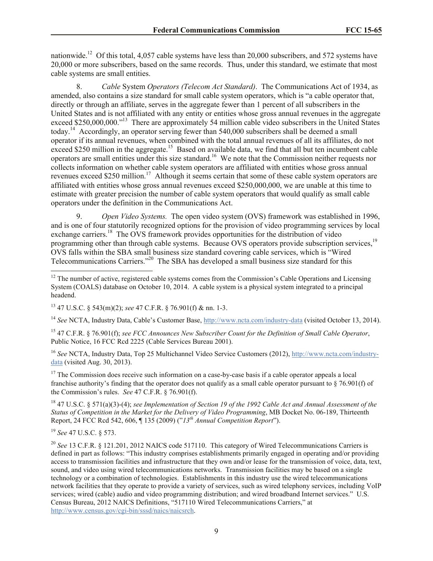nationwide.<sup>12</sup> Of this total, 4,057 cable systems have less than 20,000 subscribers, and 572 systems have 20,000 or more subscribers, based on the same records. Thus, under this standard, we estimate that most cable systems are small entities.

8. *Cable* System *Operators (Telecom Act Standard)*.The Communications Act of 1934, as amended, also contains a size standard for small cable system operators, which is "a cable operator that, directly or through an affiliate, serves in the aggregate fewer than 1 percent of all subscribers in the United States and is not affiliated with any entity or entities whose gross annual revenues in the aggregate exceed \$250,000,000."<sup>13</sup> There are approximately 54 million cable video subscribers in the United States today.<sup>14</sup> Accordingly, an operator serving fewer than 540,000 subscribers shall be deemed a small operator if its annual revenues, when combined with the total annual revenues of all its affiliates, do not  $\frac{15}{250}$  million in the aggregate.<sup>15</sup> Based on available data, we find that all but ten incumbent cable operators are small entities under this size standard.<sup>16</sup> We note that the Commission neither requests nor collects information on whether cable system operators are affiliated with entities whose gross annual revenues exceed \$250 million.<sup>17</sup> Although it seems certain that some of these cable system operators are affiliated with entities whose gross annual revenues exceed \$250,000,000, we are unable at this time to estimate with greater precision the number of cable system operators that would qualify as small cable operators under the definition in the Communications Act.

9. *Open Video Systems.* The open video system (OVS) framework was established in 1996, and is one of four statutorily recognized options for the provision of video programming services by local exchange carriers.<sup>18</sup> The OVS framework provides opportunities for the distribution of video programming other than through cable systems. Because OVS operators provide subscription services.<sup>19</sup> OVS falls within the SBA small business size standard covering cable services, which is "Wired Telecommunications Carriers."<sup>20</sup> The SBA has developed a small business size standard for this

<sup>14</sup> *See* NCTA, Industry Data, Cable's Customer Base, http://www.ncta.com/industry-data (visited October 13, 2014).

<sup>15</sup> 47 C.F.R. § 76.901(f); *see FCC Announces New Subscriber Count for the Definition of Small Cable Operator*, Public Notice, 16 FCC Rcd 2225 (Cable Services Bureau 2001).

<sup>16</sup> *See* NCTA, Industry Data, Top 25 Multichannel Video Service Customers (2012), http://www.ncta.com/industrydata (visited Aug. 30, 2013).

<sup>17</sup> The Commission does receive such information on a case-by-case basis if a cable operator appeals a local franchise authority's finding that the operator does not qualify as a small cable operator pursuant to § 76.901(f) of the Commission's rules. *See* 47 C.F.R. § 76.901(f).

<sup>18</sup> 47 U.S.C. § 571(a)(3)-(4); *see Implementation of Section 19 of the 1992 Cable Act and Annual Assessment of the Status of Competition in the Market for the Delivery of Video Programming*, MB Docket No. 06-189, Thirteenth Report, 24 FCC Rcd 542, 606, ¶ 135 (2009) ("*13th Annual Competition Report*").

<sup>19</sup> *See* 47 U.S.C. § 573.

 $\overline{\phantom{a}}$ 

<sup>20</sup> See 13 C.F.R. § 121.201, 2012 NAICS code 517110. This category of Wired Telecommunications Carriers is defined in part as follows: "This industry comprises establishments primarily engaged in operating and/or providing access to transmission facilities and infrastructure that they own and/or lease for the transmission of voice, data, text, sound, and video using wired telecommunications networks. Transmission facilities may be based on a single technology or a combination of technologies. Establishments in this industry use the wired telecommunications network facilities that they operate to provide a variety of services, such as wired telephony services, including VoIP services; wired (cable) audio and video programming distribution; and wired broadband Internet services." U.S. Census Bureau, 2012 NAICS Definitions, "517110 Wired Telecommunications Carriers," at http://www.census.gov/cgi-bin/sssd/naics/naicsrch.

 $12$  The number of active, registered cable systems comes from the Commission's Cable Operations and Licensing System (COALS) database on October 10, 2014. A cable system is a physical system integrated to a principal headend.

<sup>13</sup> 47 U.S.C. § 543(m)(2); *see* 47 C.F.R. § 76.901(f) & nn. 1-3.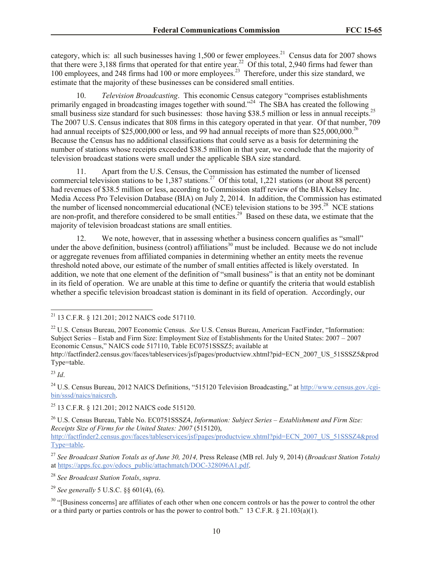category, which is: all such businesses having  $1,500$  or fewer employees.<sup>21</sup> Census data for 2007 shows that there were 3,188 firms that operated for that entire year.<sup>22</sup> Of this total, 2,940 firms had fewer than 100 employees, and 248 firms had 100 or more employees.<sup>23</sup> Therefore, under this size standard, we estimate that the majority of these businesses can be considered small entities.

10. *Television Broadcasting*. This economic Census category "comprises establishments primarily engaged in broadcasting images together with sound."<sup>24</sup> The SBA has created the following small business size standard for such businesses: those having \$38.5 million or less in annual receipts.<sup>25</sup> The 2007 U.S. Census indicates that 808 firms in this category operated in that year. Of that number, 709 had annual receipts of \$25,000,000 or less, and 99 had annual receipts of more than \$25,000,000.<sup>26</sup> Because the Census has no additional classifications that could serve as a basis for determining the number of stations whose receipts exceeded \$38.5 million in that year, we conclude that the majority of television broadcast stations were small under the applicable SBA size standard.

11. Apart from the U.S. Census, the Commission has estimated the number of licensed commercial television stations to be  $1,387$  stations.<sup>27</sup> Of this total, 1,221 stations (or about 88 percent) had revenues of \$38.5 million or less, according to Commission staff review of the BIA Kelsey Inc. Media Access Pro Television Database (BIA) on July 2, 2014. In addition, the Commission has estimated the number of licensed noncommercial educational (NCE) television stations to be  $395.<sup>28</sup>$  NCE stations are non-profit, and therefore considered to be small entities.<sup>29</sup> Based on these data, we estimate that the majority of television broadcast stations are small entities.

12. We note, however, that in assessing whether a business concern qualifies as "small" under the above definition, business (control) affiliations<sup>30</sup> must be included. Because we do not include or aggregate revenues from affiliated companies in determining whether an entity meets the revenue threshold noted above, our estimate of the number of small entities affected is likely overstated. In addition, we note that one element of the definition of "small business" is that an entity not be dominant in its field of operation. We are unable at this time to define or quantify the criteria that would establish whether a specific television broadcast station is dominant in its field of operation. Accordingly, our

<sup>23</sup> *Id*.

 $\overline{a}$ 

<sup>28</sup> *See Broadcast Station Totals*, *supra*.

<sup>29</sup> *See generally* 5 U.S.C. §§ 601(4), (6).

 $21$  13 C.F.R. § 121.201; 2012 NAICS code 517110.

<sup>22</sup> U.S. Census Bureau, 2007 Economic Census. *See* U.S. Census Bureau, American FactFinder, "Information: Subject Series – Estab and Firm Size: Employment Size of Establishments for the United States: 2007 – 2007 Economic Census," NAICS code 517110, Table EC0751SSSZ5; available at

http://factfinder2.census.gov/faces/tableservices/jsf/pages/productview.xhtml?pid=ECN\_2007\_US\_51SSSZ5&prod Type=table.

<sup>24</sup> U.S. Census Bureau, 2012 NAICS Definitions, "515120 Television Broadcasting," at http://www.census.gov./cgibin/sssd/naics/naicsrch.

<sup>25</sup> 13 C.F.R. § 121.201; 2012 NAICS code 515120.

<sup>26</sup> U.S. Census Bureau, Table No. EC0751SSSZ4, *Information: Subject Series – Establishment and Firm Size: Receipts Size of Firms for the United States: 2007* (515120),

http://factfinder2.census.gov/faces/tableservices/jsf/pages/productview.xhtml?pid=ECN\_2007\_US\_51SSSZ4&prod Type=table.

<sup>27</sup> *See Broadcast Station Totals as of June 30, 2014,* Press Release (MB rel. July 9, 2014) (*Broadcast Station Totals)*  at https://apps.fcc.gov/edocs\_public/attachmatch/DOC-328096A1.pdf.

<sup>&</sup>lt;sup>30</sup> "[Business concerns] are affiliates of each other when one concern controls or has the power to control the other or a third party or parties controls or has the power to control both." 13 C.F.R.  $\S$  21.103(a)(1).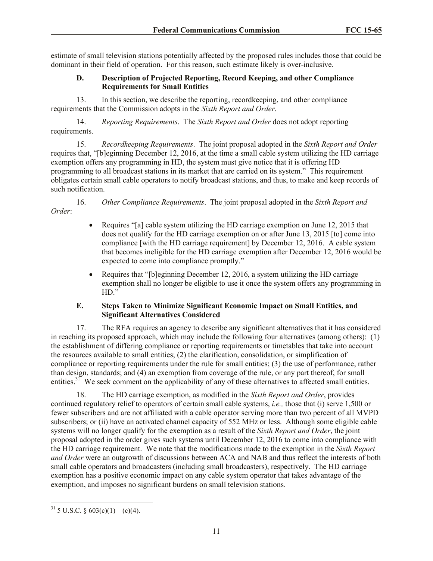estimate of small television stations potentially affected by the proposed rules includes those that could be dominant in their field of operation. For this reason, such estimate likely is over-inclusive.

### **D. Description of Projected Reporting, Record Keeping, and other Compliance Requirements for Small Entities**

13. In this section, we describe the reporting, recordkeeping, and other compliance requirements that the Commission adopts in the *Sixth Report and Order*.

14. *Reporting Requirements*. The *Sixth Report and Order* does not adopt reporting requirements.

15. *Recordkeeping Requirements*. The joint proposal adopted in the *Sixth Report and Order*  requires that, "[b]eginning December 12, 2016, at the time a small cable system utilizing the HD carriage exemption offers any programming in HD, the system must give notice that it is offering HD programming to all broadcast stations in its market that are carried on its system." This requirement obligates certain small cable operators to notify broadcast stations, and thus, to make and keep records of such notification.

16. *Other Compliance Requirements*. The joint proposal adopted in the *Sixth Report and Order*:

- Requires "[a] cable system utilizing the HD carriage exemption on June 12, 2015 that does not qualify for the HD carriage exemption on or after June 13, 2015 [to] come into compliance [with the HD carriage requirement] by December 12, 2016. A cable system that becomes ineligible for the HD carriage exemption after December 12, 2016 would be expected to come into compliance promptly."
- Equires that "[b]eginning December 12, 2016, a system utilizing the HD carriage exemption shall no longer be eligible to use it once the system offers any programming in  $HD.$ "

## **E. Steps Taken to Minimize Significant Economic Impact on Small Entities, and Significant Alternatives Considered**

17. The RFA requires an agency to describe any significant alternatives that it has considered in reaching its proposed approach, which may include the following four alternatives (among others): (1) the establishment of differing compliance or reporting requirements or timetables that take into account the resources available to small entities; (2) the clarification, consolidation, or simplification of compliance or reporting requirements under the rule for small entities; (3) the use of performance, rather than design, standards; and (4) an exemption from coverage of the rule, or any part thereof, for small entities.<sup>31</sup> We seek comment on the applicability of any of these alternatives to affected small entities.

18. The HD carriage exemption, as modified in the *Sixth Report and Order*, provides continued regulatory relief to operators of certain small cable systems, *i.e.,* those that (i) serve 1,500 or fewer subscribers and are not affiliated with a cable operator serving more than two percent of all MVPD subscribers; or (ii) have an activated channel capacity of 552 MHz or less. Although some eligible cable systems will no longer qualify for the exemption as a result of the *Sixth Report and Order*, the joint proposal adopted in the order gives such systems until December 12, 2016 to come into compliance with the HD carriage requirement. We note that the modifications made to the exemption in the *Sixth Report and Order* were an outgrowth of discussions between ACA and NAB and thus reflect the interests of both small cable operators and broadcasters (including small broadcasters), respectively. The HD carriage exemption has a positive economic impact on any cable system operator that takes advantage of the exemption, and imposes no significant burdens on small television stations.

 $\overline{\phantom{a}}$ <sup>31</sup> 5 U.S.C. § 603(c)(1) – (c)(4).